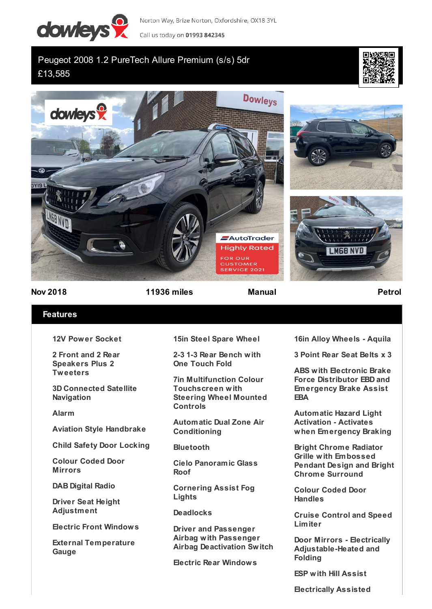

Norton Way, Brize Norton, Oxfordshire, OX18 3YL

Call us today on 01993 842345

# Peugeot 2008 1.2 PureTech Allure Premium (s/s) 5dr £13,585





## **Nov 2018 11936 miles Manual Petrol**

## **Features**

**12V Power Socket**

**2 Front and 2 Rear Speakers Plus 2 Tweeters**

**3D Connected Satellite Navigation**

### **Alarm**

**Aviation Style Handbrake**

**Child Safety Door Locking**

**Colour Coded Door Mirrors**

**DAB Digital Radio**

**Driver Seat Height Adjustment**

**Electric Front Windows**

**External Temperature Gauge**

**15in Steel Spare Wheel**

**2-3 1-3 Rear Bench with One Touch Fold**

**7in Multifunction Colour Touchscreen with Steering Wheel Mounted Controls**

**Automatic Dual Zone Air Conditioning**

**Bluetooth**

**Cielo Panoramic Glass Roof**

**Cornering Assist Fog Lights**

**Deadlocks**

**Driver and Passenger Airbag with Passenger Airbag Deactivation Switch**

**Electric Rear Windows**

**16in Alloy Wheels - Aquila**

**3 Point Rear Seat Belts x 3**

**ABS with Electronic Brake Force Distributor EBD and Emergency Brake Assist EBA**

**Automatic Hazard Light Activation - Activates when Emergency Braking**

**Bright Chrome Radiator Grille with Embossed Pendant Design and Bright Chrome Surround**

**Colour Coded Door Handles**

**Cruise Control and Speed Limiter**

**Door Mirrors - Electrically Adjustable-Heated and Folding**

**ESP with Hill Assist**

**Electrically Assisted**